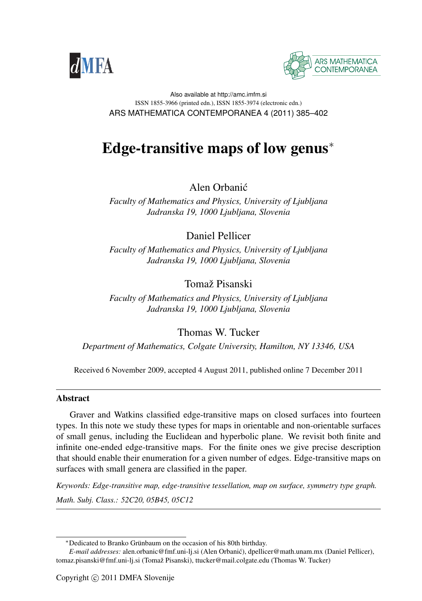



#### Also available at http://amc.imfm.si ISSN 1855-3966 (printed edn.), ISSN 1855-3974 (electronic edn.) ARS MATHEMATICA CONTEMPORANEA 4 (2011) 385–402

# Edge-transitive maps of low genus<sup>∗</sup>

Alen Orbanic´

*Faculty of Mathematics and Physics, University of Ljubljana Jadranska 19, 1000 Ljubljana, Slovenia*

Daniel Pellicer

*Faculty of Mathematics and Physics, University of Ljubljana Jadranska 19, 1000 Ljubljana, Slovenia*

Tomaž Pisanski

*Faculty of Mathematics and Physics, University of Ljubljana Jadranska 19, 1000 Ljubljana, Slovenia*

Thomas W. Tucker

*Department of Mathematics, Colgate University, Hamilton, NY 13346, USA*

Received 6 November 2009, accepted 4 August 2011, published online 7 December 2011

## Abstract

Graver and Watkins classified edge-transitive maps on closed surfaces into fourteen types. In this note we study these types for maps in orientable and non-orientable surfaces of small genus, including the Euclidean and hyperbolic plane. We revisit both finite and infinite one-ended edge-transitive maps. For the finite ones we give precise description that should enable their enumeration for a given number of edges. Edge-transitive maps on surfaces with small genera are classified in the paper.

*Keywords: Edge-transitive map, edge-transitive tessellation, map on surface, symmetry type graph.*

*Math. Subj. Class.: 52C20, 05B45, 05C12*

<sup>∗</sup>Dedicated to Branko Grunbaum on the occasion of his 80th birthday. ¨

*E-mail addresses:* alen.orbanic@fmf.uni-lj.si (Alen Orbanic), dpellicer@math.unam.mx (Daniel Pellicer), ´ tomaz.pisanski@fmf.uni-lj.si (Tomaž Pisanski), ttucker@mail.colgate.edu (Thomas W. Tucker)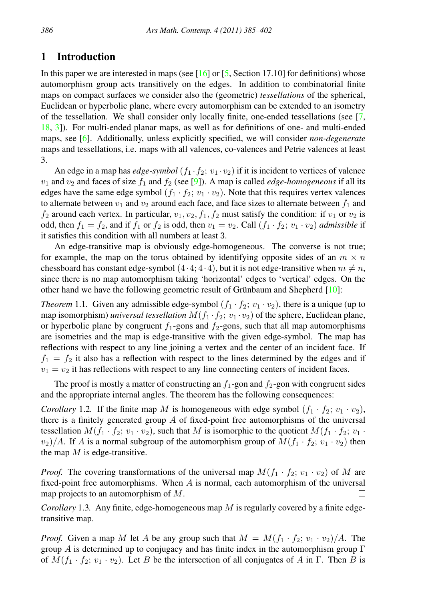## 1 Introduction

In this paper we are interested in maps (see [\[16\]](#page-17-0) or [\[5,](#page-16-0) Section 17.10] for definitions) whose automorphism group acts transitively on the edges. In addition to combinatorial finite maps on compact surfaces we consider also the (geometric) *tessellations* of the spherical, Euclidean or hyperbolic plane, where every automorphism can be extended to an isometry of the tessellation. We shall consider only locally finite, one-ended tessellations (see [\[7,](#page-16-1) [18,](#page-17-1) [3\]](#page-16-2)). For multi-ended planar maps, as well as for definitions of one- and multi-ended maps, see [\[6\]](#page-16-3). Additionally, unless explicitly specified, we will consider *non-degenerate* maps and tessellations, i.e. maps with all valences, co-valences and Petrie valences at least 3.

An edge in a map has *edge-symbol*  $(f_1 \cdot f_2; v_1 \cdot v_2)$  if it is incident to vertices of valence  $v_1$  and  $v_2$  and faces of size  $f_1$  and  $f_2$  (see [\[9\]](#page-16-4)). A map is called *edge-homogeneous* if all its edges have the same edge symbol  $(f_1 \cdot f_2; v_1 \cdot v_2)$ . Note that this requires vertex valences to alternate between  $v_1$  and  $v_2$  around each face, and face sizes to alternate between  $f_1$  and  $f_2$  around each vertex. In particular,  $v_1, v_2, f_1, f_2$  must satisfy the condition: if  $v_1$  or  $v_2$  is odd, then  $f_1 = f_2$ , and if  $f_1$  or  $f_2$  is odd, then  $v_1 = v_2$ . Call  $(f_1 \cdot f_2; v_1 \cdot v_2)$  *admissible* if it satisfies this condition with all numbers at least 3.

An edge-transitive map is obviously edge-homogeneous. The converse is not true; for example, the map on the torus obtained by identifying opposite sides of an  $m \times n$ chessboard has constant edge-symbol  $(4.4; 4.4)$ , but it is not edge-transitive when  $m \neq n$ , since there is no map automorphism taking 'horizontal' edges to 'vertical' edges. On the other hand we have the following geometric result of Grünbaum and Shepherd  $[10]$  $[10]$ :

<span id="page-1-0"></span>*Theorem* 1.1. Given any admissible edge-symbol  $(f_1 \cdot f_2; v_1 \cdot v_2)$ , there is a unique (up to map isomorphism) *universal tessellation*  $M(f_1 \cdot f_2; v_1 \cdot v_2)$  of the sphere, Euclidean plane, or hyperbolic plane by congruent  $f_1$ -gons and  $f_2$ -gons, such that all map automorphisms are isometries and the map is edge-transitive with the given edge-symbol. The map has reflections with respect to any line joining a vertex and the center of an incident face. If  $f_1 = f_2$  it also has a reflection with respect to the lines determined by the edges and if  $v_1 = v_2$  it has reflections with respect to any line connecting centers of incident faces.

The proof is mostly a matter of constructing an  $f_1$ -gon and  $f_2$ -gon with congruent sides and the appropriate internal angles. The theorem has the following consequences:

*Corollary* 1.2*.* If the finite map M is homogeneous with edge symbol  $(f_1 \cdot f_2; v_1 \cdot v_2)$ , there is a finitely generated group  $\tilde{A}$  of fixed-point free automorphisms of the universal tessellation  $M(f_1 \cdot f_2; v_1 \cdot v_2)$ , such that M is isomorphic to the quotient  $M(f_1 \cdot f_2; v_1 \cdot v_2)$  $(v_2)/A$ . If A is a normal subgroup of the automorphism group of  $M(f_1 \cdot f_2; v_1 \cdot v_2)$  then the map  $M$  is edge-transitive.

*Proof.* The covering transformations of the universal map  $M(f_1 \cdot f_2; v_1 \cdot v_2)$  of M are fixed-point free automorphisms. When A is normal, each automorphism of the universal map projects to an automorphism of M. П

*Corollary* 1.3*.* Any finite, edge-homogeneous map M is regularly covered by a finite edgetransitive map.

*Proof.* Given a map M let A be any group such that  $M = M(f_1 \cdot f_2; v_1 \cdot v_2)/A$ . The group A is determined up to conjugacy and has finite index in the automorphism group  $\Gamma$ of  $M(f_1 \cdot f_2; v_1 \cdot v_2)$ . Let B be the intersection of all conjugates of A in Γ. Then B is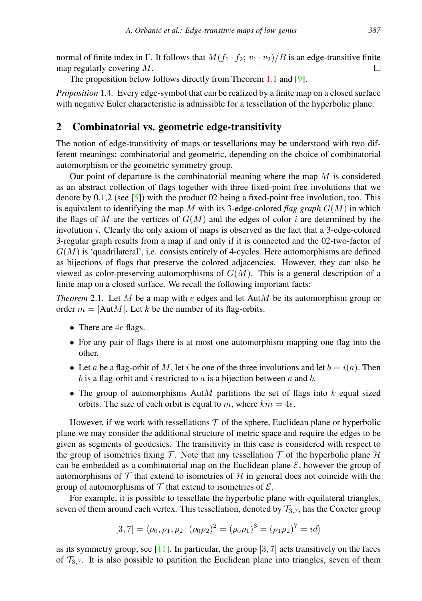normal of finite index in Γ. It follows that  $M(f_1 \cdot f_2; v_1 \cdot v_2)/B$  is an edge-transitive finite map regularly covering M.  $\Box$ 

The proposition below follows directly from Theorem [1.1](#page-1-0) and [\[9\]](#page-16-4).

*Proposition* 1.4*.* Every edge-symbol that can be realized by a finite map on a closed surface with negative Euler characteristic is admissible for a tessellation of the hyperbolic plane.

## <span id="page-2-0"></span>2 Combinatorial vs. geometric edge-transitivity

The notion of edge-transitivity of maps or tessellations may be understood with two different meanings: combinatorial and geometric, depending on the choice of combinatorial automorphism or the geometric symmetry group.

Our point of departure is the combinatorial meaning where the map  $M$  is considered as an abstract collection of flags together with three fixed-point free involutions that we denote by  $0,1,2$  (see [\[5\]](#page-16-0)) with the product 02 being a fixed-point free involution, too. This is equivalent to identifying the map M with its 3-edge-colored *flag graph*  $G(M)$  in which the flags of M are the vertices of  $G(M)$  and the edges of color i are determined by the involution  $i$ . Clearly the only axiom of maps is observed as the fact that a 3-edge-colored 3-regular graph results from a map if and only if it is connected and the 02-two-factor of  $G(M)$  is 'quadrilateral', i.e. consists entirely of 4-cycles. Here automorphisms are defined as bijections of flags that preserve the colored adjacencies. However, they can also be viewed as color-preserving automorphisms of  $G(M)$ . This is a general description of a finite map on a closed surface. We recall the following important facts:

*Theorem* 2.1. Let M be a map with e edges and let AutM be its automorphism group or order  $m = |Aut M|$ . Let k be the number of its flag-orbits.

- There are 4e flags.
- For any pair of flags there is at most one automorphism mapping one flag into the other.
- Let a be a flag-orbit of M, let i be one of the three involutions and let  $b = i(a)$ . Then  $b$  is a flag-orbit and  $i$  restricted to  $a$  is a bijection between  $a$  and  $b$ .
- The group of automorphisms  $Aut M$  partitions the set of flags into k equal sized orbits. The size of each orbit is equal to m, where  $km = 4e$ .

However, if we work with tessellations  $T$  of the sphere, Euclidean plane or hyperbolic plane we may consider the additional structure of metric space and require the edges to be given as segments of geodesics. The transitivity in this case is considered with respect to the group of isometries fixing T. Note that any tessellation T of the hyperbolic plane  $\mathcal H$ can be embedded as a combinatorial map on the Euclidean plane  $\mathcal{E}$ , however the group of automorphisms of  $\mathcal T$  that extend to isometries of  $\mathcal H$  in general does not coincide with the group of automorphisms of  $T$  that extend to isometries of  $\mathcal{E}$ .

For example, it is possible to tessellate the hyperbolic plane with equilateral triangles, seven of them around each vertex. This tessellation, denoted by  $\mathcal{T}_{3,7}$ , has the Coxeter group

$$
[3,7] = \langle \rho_0, \rho_1, \rho_2 \, | \, (\rho_0 \rho_2)^2 = (\rho_0 \rho_1)^3 = (\rho_1 \rho_2)^7 = id \rangle
$$

as its symmetry group; see  $[11]$ . In particular, the group  $[3, 7]$  acts transitively on the faces of  $\mathcal{T}_{3,7}$ . It is also possible to partition the Euclidean plane into triangles, seven of them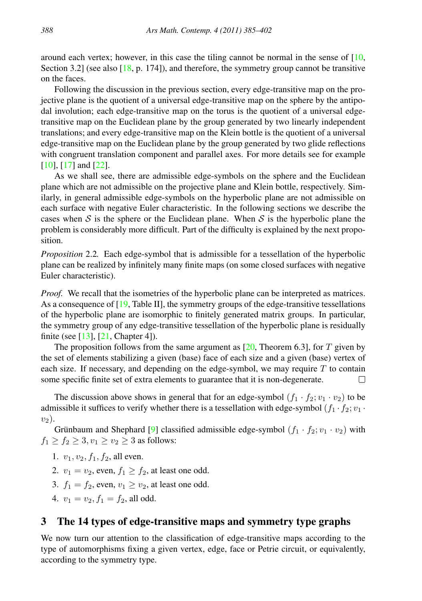around each vertex; however, in this case the tiling cannot be normal in the sense of  $[10, 10]$  $[10, 10]$ Section 3.2] (see also  $[18, p. 174]$  $[18, p. 174]$ ), and therefore, the symmetry group cannot be transitive on the faces.

Following the discussion in the previous section, every edge-transitive map on the projective plane is the quotient of a universal edge-transitive map on the sphere by the antipodal involution; each edge-transitive map on the torus is the quotient of a universal edgetransitive map on the Euclidean plane by the group generated by two linearly independent translations; and every edge-transitive map on the Klein bottle is the quotient of a universal edge-transitive map on the Euclidean plane by the group generated by two glide reflections with congruent translation component and parallel axes. For more details see for example [\[10\]](#page-16-5), [\[17\]](#page-17-2) and [\[22\]](#page-17-3).

As we shall see, there are admissible edge-symbols on the sphere and the Euclidean plane which are not admissible on the projective plane and Klein bottle, respectively. Similarly, in general admissible edge-symbols on the hyperbolic plane are not admissible on each surface with negative Euler characteristic. In the following sections we describe the cases when S is the sphere or the Euclidean plane. When S is the hyperbolic plane the problem is considerably more difficult. Part of the difficulty is explained by the next proposition.

*Proposition* 2.2*.* Each edge-symbol that is admissible for a tessellation of the hyperbolic plane can be realized by infinitely many finite maps (on some closed surfaces with negative Euler characteristic).

*Proof.* We recall that the isometries of the hyperbolic plane can be interpreted as matrices. As a consequence of [\[19,](#page-17-4) Table II], the symmetry groups of the edge-transitive tessellations of the hyperbolic plane are isomorphic to finitely generated matrix groups. In particular, the symmetry group of any edge-transitive tessellation of the hyperbolic plane is residually finite (see [\[13\]](#page-16-7), [\[21,](#page-17-5) Chapter 4]).

The proposition follows from the same argument as  $[20,$  Theorem 6.3], for T given by the set of elements stabilizing a given (base) face of each size and a given (base) vertex of each size. If necessary, and depending on the edge-symbol, we may require  $T$  to contain some specific finite set of extra elements to guarantee that it is non-degenerate. П

The discussion above shows in general that for an edge-symbol  $(f_1 \cdot f_2; v_1 \cdot v_2)$  to be admissible it suffices to verify whether there is a tessellation with edge-symbol  $(f_1 \cdot f_2; v_1 \cdot$  $v_2$ ).

Grünbaum and Shephard [[9\]](#page-16-4) classified admissible edge-symbol  $(f_1 \cdot f_2; v_1 \cdot v_2)$  with  $f_1 \ge f_2 \ge 3, v_1 \ge v_2 \ge 3$  as follows:

- 1.  $v_1, v_2, f_1, f_2$ , all even.
- 2.  $v_1 = v_2$ , even,  $f_1 > f_2$ , at least one odd.
- 3.  $f_1 = f_2$ , even,  $v_1 \ge v_2$ , at least one odd.
- 4.  $v_1 = v_2$ ,  $f_1 = f_2$ , all odd.

## 3 The 14 types of edge-transitive maps and symmetry type graphs

We now turn our attention to the classification of edge-transitive maps according to the type of automorphisms fixing a given vertex, edge, face or Petrie circuit, or equivalently, according to the symmetry type.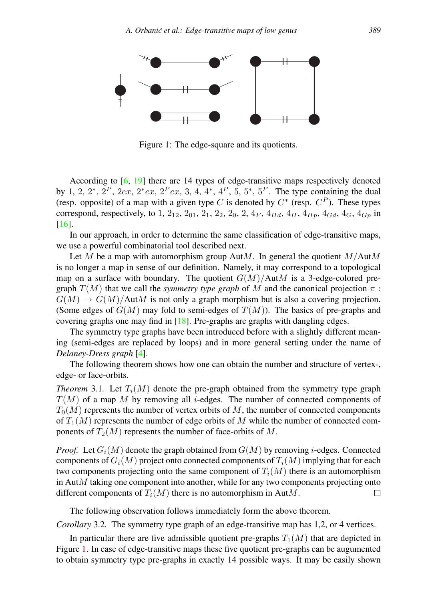

<span id="page-4-0"></span>Figure 1: The edge-square and its quotients.

According to [\[6,](#page-16-3) [19\]](#page-17-4) there are 14 types of edge-transitive maps respectively denoted by 1, 2,  $2^*, 2^P$ ,  $2ex$ ,  $2^*ex$ ,  $2^Pex$ , 3, 4, 4<sup>\*</sup>, 4<sup>P</sup>, 5, 5<sup>\*</sup>, 5<sup>P</sup>. The type containing the dual (resp. opposite) of a map with a given type C is denoted by  $C^*$  (resp.  $C^P$ ). These types correspond, respectively, to 1, 2<sub>12</sub>, 2<sub>01</sub>, 2<sub>1</sub>, 2<sub>2</sub>, 2<sub>0</sub>, 2, 4<sub>F</sub>, 4<sub>Hd</sub>, 4<sub>H</sub>, 4<sub>Hp</sub>, 4<sub>Gd</sub>, 4<sub>G</sub>, 4<sub>Gp</sub> in [\[16\]](#page-17-0).

In our approach, in order to determine the same classification of edge-transitive maps, we use a powerful combinatorial tool described next.

Let M be a map with automorphism group AutM. In general the quotient  $M/AutM$ is no longer a map in sense of our definition. Namely, it may correspond to a topological map on a surface with boundary. The quotient  $G(M)/A$ ut $M$  is a 3-edge-colored pregraph  $T(M)$  that we call the *symmetry type graph* of M and the canonical projection  $\pi$ :  $G(M) \rightarrow G(M)/A$ ut $M$  is not only a graph morphism but is also a covering projection. (Some edges of  $G(M)$  may fold to semi-edges of  $T(M)$ ). The basics of pre-graphs and covering graphs one may find in  $[18]$ . Pre-graphs are graphs with dangling edges.

The symmetry type graphs have been introduced before with a slightly different meaning (semi-edges are replaced by loops) and in more general setting under the name of *Delaney-Dress graph* [\[4\]](#page-16-8).

The following theorem shows how one can obtain the number and structure of vertex-, edge- or face-orbits.

*Theorem* 3.1. Let  $T_i(M)$  denote the pre-graph obtained from the symmetry type graph  $T(M)$  of a map M by removing all *i*-edges. The number of connected components of  $T_0(M)$  represents the number of vertex orbits of M, the number of connected components of  $T_1(M)$  represents the number of edge orbits of M while the number of connected components of  $T_2(M)$  represents the number of face-orbits of M.

*Proof.* Let  $G_i(M)$  denote the graph obtained from  $G(M)$  by removing i-edges. Connected components of  $G_i(M)$  project onto connected components of  $T_i(M)$  implying that for each two components projecting onto the same component of  $T_i(M)$  there is an automorphism in  $Aut M$  taking one component into another, while for any two components projecting onto different components of  $T_i(M)$  there is no automorphism in AutM. П

The following observation follows immediately form the above theorem.

*Corollary* 3.2. The symmetry type graph of an edge-transitive map has 1,2, or 4 vertices.

In particular there are five admissible quotient pre-graphs  $T_1(M)$  that are depicted in Figure [1.](#page-4-0) In case of edge-transitive maps these five quotient pre-graphs can be augumented to obtain symmetry type pre-graphs in exactly 14 possible ways. It may be easily shown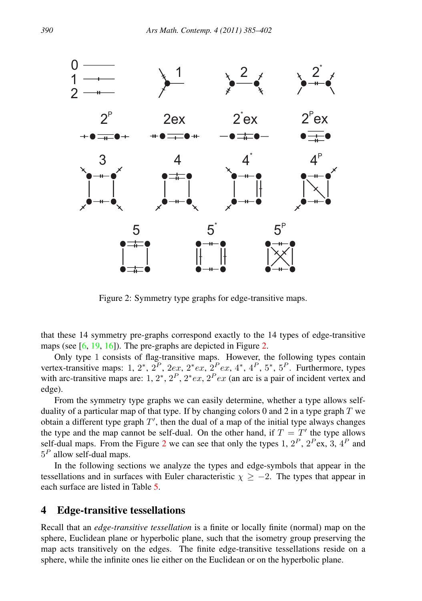

<span id="page-5-0"></span>Figure 2: Symmetry type graphs for edge-transitive maps.

that these 14 symmetry pre-graphs correspond exactly to the 14 types of edge-transitive maps (see [\[6,](#page-16-3) [19,](#page-17-4) [16\]](#page-17-0)). The pre-graphs are depicted in Figure [2.](#page-5-0)

Only type 1 consists of flag-transitive maps. However, the following types contain vertex-transitive maps: 1,  $2^*$ ,  $2^P$ ,  $2ex$ ,  $2^*ex$ ,  $2^Pex$ ,  $4^*$ ,  $4^P$ ,  $5^*$ ,  $5^P$ . Furthermore, types with arc-transitive maps are: 1,  $2^*$ ,  $2^P$ ,  $2^*$ ex,  $2^P$ ex (an arc is a pair of incident vertex and edge).

From the symmetry type graphs we can easily determine, whether a type allows selfduality of a particular map of that type. If by changing colors 0 and 2 in a type graph  $T$  we obtain a different type graph  $T'$ , then the dual of a map of the initial type always changes the type and the map cannot be self-dual. On the other hand, if  $T = T'$  the type allows self-dual maps. From the Figure [2](#page-5-0) we can see that only the types 1,  $2^P$ ,  $2^P$ ex, 3,  $4^P$  and  $5^P$  allow self-dual maps.

In the following sections we analyze the types and edge-symbols that appear in the tessellations and in surfaces with Euler characteristic  $\chi \geq -2$ . The types that appear in each surface are listed in Table [5.](#page-13-0)

## <span id="page-5-1"></span>4 Edge-transitive tessellations

Recall that an *edge-transitive tessellation* is a finite or locally finite (normal) map on the sphere, Euclidean plane or hyperbolic plane, such that the isometry group preserving the map acts transitively on the edges. The finite edge-transitive tessellations reside on a sphere, while the infinite ones lie either on the Euclidean or on the hyperbolic plane.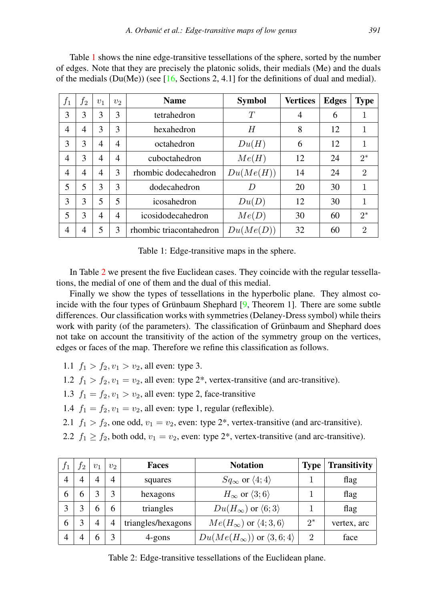| $f_1$          | $f_2$ | v <sub>1</sub> | v <sub>2</sub> | <b>Name</b>             | <b>Symbol</b> | <b>Vertices</b> | <b>Edges</b> | <b>Type</b>    |
|----------------|-------|----------------|----------------|-------------------------|---------------|-----------------|--------------|----------------|
| 3              | 3     | 3              | 3              | tetrahedron             | T             | 4               | 6            | 1              |
| $\overline{4}$ | 4     | 3              | 3              | hexahedron              | H             | 8               | 12           | 1              |
| 3              | 3     | 4              | 4              | octahedron              | Du(H)         | 6               | 12           | 1              |
| $\overline{4}$ | 3     | 4              | 4              | cuboctahedron           | Me(H)         | 12              | 24           | $2^*$          |
| $\overline{4}$ | 4     | 4              | 3              | rhombic dodecahedron    | Du(Me(H))     | 14              | 24           | $\overline{2}$ |
| 5              | 5     | 3              | 3              | dodecahedron            | D             | 20              | 30           | 1              |
| 3              | 3     | 5              | 5              | icosahedron             | Du(D)         | 12              | 30           | 1              |
| 5              | 3     | 4              | 4              | icosidodecahedron       | Me(D)         | 30              | 60           | $2^*$          |
| 4              | 4     | 5              | 3              | rhombic triacontahedron | Du(Me(D))     | 32              | 60           | $\overline{2}$ |

Table [1](#page-6-0) shows the nine edge-transitive tessellations of the sphere, sorted by the number of edges. Note that they are precisely the platonic solids, their medials (Me) and the duals of the medials  $(Du(Me))$  (see [\[16,](#page-17-0) Sections 2, 4.1] for the definitions of dual and medial).

<span id="page-6-0"></span>Table 1: Edge-transitive maps in the sphere.

In Table [2](#page-6-1) we present the five Euclidean cases. They coincide with the regular tessellations, the medial of one of them and the dual of this medial.

Finally we show the types of tessellations in the hyperbolic plane. They almost coincide with the four types of Grünbaum Shephard  $[9]$ , Theorem 1]. There are some subtle differences. Our classification works with symmetries (Delaney-Dress symbol) while theirs work with parity (of the parameters). The classification of Grünbaum and Shephard does not take on account the transitivity of the action of the symmetry group on the vertices, edges or faces of the map. Therefore we refine this classification as follows.

1.1  $f_1 > f_2, v_1 > v_2$ , all even: type 3.

- 1.2  $f_1 > f_2$ ,  $v_1 = v_2$ , all even: type 2<sup>\*</sup>, vertex-transitive (and arc-transitive).
- 1.3  $f_1 = f_2, v_1 > v_2$ , all even: type 2, face-transitive

1.4  $f_1 = f_2$ ,  $v_1 = v_2$ , all even: type 1, regular (reflexible).

2.1  $f_1 > f_2$ , one odd,  $v_1 = v_2$ , even: type 2<sup>\*</sup>, vertex-transitive (and arc-transitive).

2.2  $f_1 \ge f_2$ , both odd,  $v_1 = v_2$ , even: type 2<sup>\*</sup>, vertex-transitive (and arc-transitive).

| J <sub>1</sub> | Γ2 | $v_1$ | v <sub>2</sub> | Faces              | <b>Notation</b>                                | <b>Type</b> | <b>Transitivity</b> |
|----------------|----|-------|----------------|--------------------|------------------------------------------------|-------------|---------------------|
|                |    | 4     | $\overline{4}$ | squares            | $Sq_{\infty}$ or $\langle 4; 4 \rangle$        |             | flag                |
| n              | n  |       |                | hexagons           | $H_{\infty}$ or $\langle 3;6 \rangle$          |             | flag                |
|                |    | 6     | 6              | triangles          | $Du(H_{\infty})$ or $\langle 6;3 \rangle$      |             | flag                |
| 6              |    | 4     | $\overline{4}$ | triangles/hexagons | $Me(H_{\infty})$ or $\langle 4; 3, 6 \rangle$  | $2*$        | vertex, arc         |
|                |    |       |                | 4-gons             | $Du(Me(H_{\infty}))$ or $\langle 3,6;4\rangle$ | റ           | face                |

<span id="page-6-1"></span>Table 2: Edge-transitive tessellations of the Euclidean plane.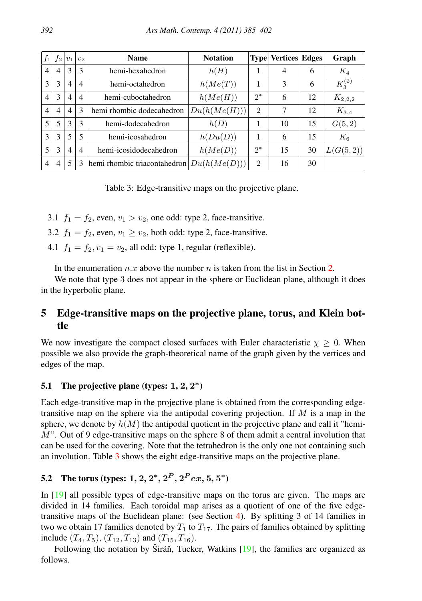| $f_1$          | f <sub>2</sub> | $v_1$          | v <sub>2</sub> | <b>Name</b>                  | <b>Notation</b> |                | <b>Type Vertices Edges</b> |    | Graph       |
|----------------|----------------|----------------|----------------|------------------------------|-----------------|----------------|----------------------------|----|-------------|
| $\overline{4}$ | $\overline{4}$ | 3              | 3              | hemi-hexahedron              | h(H)            | 1              | 4                          | 6  | $K_4$       |
| 3              | 3              | $\overline{4}$ | $\overline{4}$ | hemi-octahedron              | h(Me(T))        | 1              | 3                          | 6  | $K_3^{(2)}$ |
| $\overline{4}$ | 3              | $\overline{4}$ | $\overline{4}$ | hemi-cuboctahedron           | h(Me(H))        | $2^*$          | 6                          | 12 | $K_{2,2,2}$ |
| $\overline{4}$ | $\overline{4}$ | $\overline{4}$ | 3              | hemi rhombic dodecahedron    | Du(h(Me(H)))    | $\overline{2}$ | 7                          | 12 | $K_{3,4}$   |
| 5              | 5              | 3              | 3              | hemi-dodecahedron            | h(D)            | 1              | 10                         | 15 | G(5, 2)     |
| 3              | 3              | 5              | 5              | hemi-icosahedron             | h(Du(D))        | 1              | 6                          | 15 | $K_6$       |
| 5              | 3              | $\overline{4}$ | $\overline{4}$ | hemi-icosidodecahedron       | hMe(D)          | $2^*$          | 15                         | 30 | L(G(5,2))   |
| $\overline{4}$ | $\overline{4}$ | 5              | 3              | hemi rhombic triacontahedron | Du(h(Me(D)))    | $\overline{2}$ | 16                         | 30 |             |

<span id="page-7-0"></span>Table 3: Edge-transitive maps on the projective plane.

- 3.1  $f_1 = f_2$ , even,  $v_1 > v_2$ , one odd: type 2, face-transitive.
- 3.2  $f_1 = f_2$ , even,  $v_1 \ge v_2$ , both odd: type 2, face-transitive.
- 4.1  $f_1 = f_2$ ,  $v_1 = v_2$ , all odd: type 1, regular (reflexible).

In the enumeration  $n.x$  above the number n is taken from the list in Section [2.](#page-2-0)

We note that type 3 does not appear in the sphere or Euclidean plane, although it does in the hyperbolic plane.

# 5 Edge-transitive maps on the projective plane, torus, and Klein bottle

We now investigate the compact closed surfaces with Euler characteristic  $\chi \geq 0$ . When possible we also provide the graph-theoretical name of the graph given by the vertices and edges of the map.

## 5.1 The projective plane (types:  $1, 2, 2^*$ )

Each edge-transitive map in the projective plane is obtained from the corresponding edgetransitive map on the sphere via the antipodal covering projection. If  $M$  is a map in the sphere, we denote by  $h(M)$  the antipodal quotient in the projective plane and call it "hemi- $M$ ". Out of 9 edge-transitive maps on the sphere 8 of them admit a central involution that can be used for the covering. Note that the tetrahedron is the only one not containing such an involution. Table [3](#page-7-0) shows the eight edge-transitive maps on the projective plane.

## 5.2 The torus (types: 1, 2,  $2^*, 2^P, 2^P ex, 5, 5^*$ )

In [\[19\]](#page-17-4) all possible types of edge-transitive maps on the torus are given. The maps are divided in 14 families. Each toroidal map arises as a quotient of one of the five edgetransitive maps of the Euclidean plane: (see Section [4\)](#page-5-1). By splitting 3 of 14 families in two we obtain 17 families denoted by  $T_1$  to  $T_{17}$ . The pairs of families obtained by splitting include  $(T_4, T_5)$ ,  $(T_{12}, T_{13})$  and  $(T_{15}, T_{16})$ .

Following the notation by Širáň, Tucker, Watkins  $[19]$  $[19]$ , the families are organized as follows.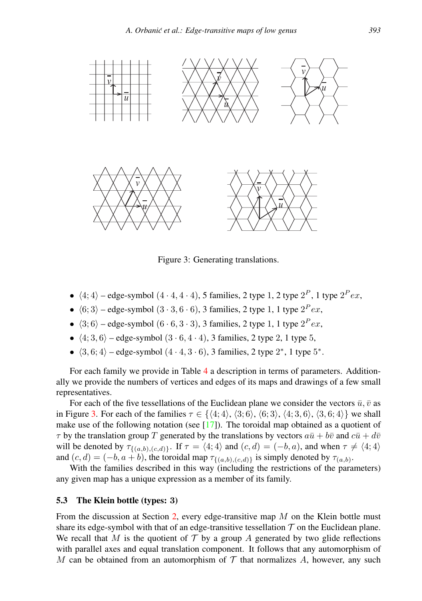

<span id="page-8-0"></span>Figure 3: Generating translations.

- $\langle 4; 4 \rangle$  edge-symbol  $(4 \cdot 4, 4 \cdot 4)$ , 5 families, 2 type 1, 2 type  $2^P$ , 1 type  $2^P e x$ ,
- $\langle 6; 3 \rangle$  edge-symbol  $(3 \cdot 3, 6 \cdot 6)$ , 3 families, 2 type 1, 1 type  $2^P e x$ ,
- $\langle 3; 6 \rangle$  edge-symbol  $(6 \cdot 6, 3 \cdot 3)$ , 3 families, 2 type 1, 1 type  $2^P e x$ ,
- $\langle 4; 3, 6 \rangle$  edge-symbol  $(3 \cdot 6, 4 \cdot 4)$ , 3 families, 2 type 2, 1 type 5,
- $\langle 3, 6; 4 \rangle$  edge-symbol  $(4 \cdot 4, 3 \cdot 6)$ , 3 families, 2 type  $2^*$ , 1 type  $5^*$ .

For each family we provide in Table [4](#page-9-0) a description in terms of parameters. Additionally we provide the numbers of vertices and edges of its maps and drawings of a few small representatives.

For each of the five tessellations of the Euclidean plane we consider the vectors  $\bar{u}, \bar{v}$  as in Figure [3.](#page-8-0) For each of the families  $\tau \in \{ \langle 4; 4 \rangle, \langle 3; 6 \rangle, \langle 6; 3 \rangle, \langle 4; 3, 6 \rangle, \langle 3, 6; 4 \rangle \}$  we shall make use of the following notation (see  $[17]$ ). The toroidal map obtained as a quotient of  $\tau$  by the translation group T generated by the translations by vectors  $a\bar{u} + b\bar{v}$  and  $c\bar{u} + d\bar{v}$ will be denoted by  $\tau_{\{(a,b),(c,d)\}}$ . If  $\tau = \langle 4;4 \rangle$  and  $(c,d) = (-b,a)$ , and when  $\tau \neq \langle 4;4 \rangle$ and  $(c, d) = (-b, a + b)$ , the toroidal map  $\tau_{\{(a,b),(c,d)\}}$  is simply denoted by  $\tau_{(a,b)}$ .

With the families described in this way (including the restrictions of the parameters) any given map has a unique expression as a member of its family.

#### 5.3 The Klein bottle (types: 3)

From the discussion at Section [2,](#page-2-0) every edge-transitive map  $M$  on the Klein bottle must share its edge-symbol with that of an edge-transitive tessellation  $T$  on the Euclidean plane. We recall that M is the quotient of  $\mathcal T$  by a group A generated by two glide reflections with parallel axes and equal translation component. It follows that any automorphism of M can be obtained from an automorphism of  $\mathcal T$  that normalizes A, however, any such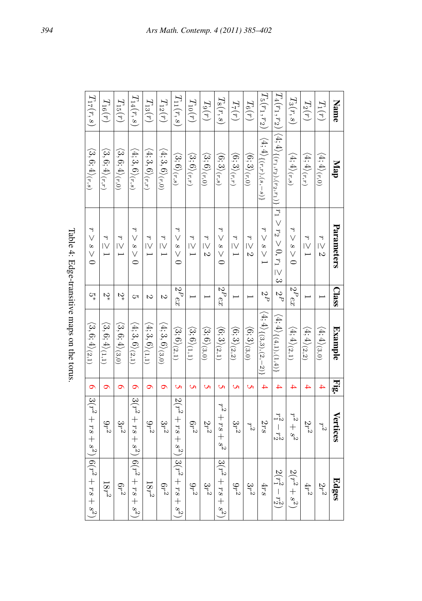<span id="page-9-0"></span>

| :<br>ì        |
|---------------|
| ۱             |
| ì             |
| ç<br>1<br>i   |
| $\frac{1}{2}$ |

| $T_2(r)$<br>Name<br>$T_1(r)$                                     | $T_3(r,s)$                   |                                                                                          | $ I_5(r_1,r_2) $                           | $T_6(r)$                     | $T_7(r)$                     | $T_8(r,s)$                   | $T_9(r)$                     | $T_{10}(r)$                  | $T_{11}(r,s)$                |                                                 | $T_{12}(r)$       | $T_{13}(r)$                    | $T_{14}(r,s)$                  | $T_{\rm 15}(r)$ | $T_{16}(r)$                                                      |
|------------------------------------------------------------------|------------------------------|------------------------------------------------------------------------------------------|--------------------------------------------|------------------------------|------------------------------|------------------------------|------------------------------|------------------------------|------------------------------|-------------------------------------------------|-------------------|--------------------------------|--------------------------------|-----------------|------------------------------------------------------------------|
| $\langle 4;4\rangle_{(r,r)}$<br>$(4; 4)$ $(r, 0)$<br>Map         | $\langle 4;4\rangle_{(r,s)}$ | $T_4(r_1,r_2)\Big \langle 4;4\rangle_{\{(r_1,r_2),(r_2,r_1)\}}\Big r_1>r_2>0, r_1\geq 3$ | $\langle 4; 4 \rangle_{\{(r,r), (s,-s)\}}$ | $\langle 6;3\rangle_{(r,0)}$ | $\langle 6;3\rangle_{(r,r)}$ | $\langle 6;3\rangle_{(r,s)}$ | $\langle 3;6\rangle_{(r,0)}$ |                              | $\langle 3;6\rangle_{(r,r)}$ | $\langle 3;6\rangle_{(r,s)}$                    | $(4;3,6)_{(r,0)}$ | $\langle 4;3,6\rangle_{(r,r)}$ | $\langle 4;3,6\rangle_{(r,s)}$ |                 | $\langle 3,6;4\rangle_{(r,r)}$<br>$\langle 3,6;4\rangle_{(r,0)}$ |
| Parameters<br>$r\geq 1$<br>$r\geq 2$                             | $r>s>0$                      |                                                                                          | s > 1                                      | $r\geq 2$                    | $r\geq 1$                    | 0 < s <                      |                              | $r \geq 2$                   | $r\geq 1$                    | s > 0                                           | $r\geq 1$         | $r\geq 1$                      | ۶<br>0 < s <                   | $r\geq 1$       | $r\geq 1$                                                        |
| Class                                                            | $ 2^Pex$                     | $-2P$                                                                                    | $\frac{2}{P}$                              |                              |                              | $ 2^Pex$                     |                              |                              |                              | $ 2^Pex$                                        | $\mathcal{C}$     | S                              | Ċπ                             | $\mathcal{L}^*$ | $\mathcal{C}_4$                                                  |
| $\langle 4;4\rangle_{(2,2)}$<br>$(4; 4)$ (3,0)<br><b>Example</b> | $\langle 4;4\rangle_{(2,1)}$ | $\langle 4; 4 \rangle_{\{(4,1),(1,4)\}}$                                                 | $\langle 4; 4 \rangle_{\{(3,3),(2,-2)\}}$  | $\langle 6;3\rangle_{(3,0)}$ | $\langle 6;3\rangle_{(2,2)}$ | $\langle 6;3\rangle_{(2,1)}$ |                              | $\langle 3;6\rangle_{(3,0)}$ | $\langle 3;6\rangle_{(1,1)}$ | $\langle 3;6\rangle_{(2,1)}$                    | (4;3,6)(3,0)      | $(4;3,6)_{(1,1)}$              | $\langle 4;3,6\rangle_{(2,1)}$ |                 | $\langle 3,6;4\rangle_{(1,1)}$<br>$\langle 3,6;4\rangle_{(3,0)}$ |
| Fig.<br>4<br>4                                                   | 4                            | $\overline{4}$                                                                           | $\overline{4}$                             | Ü                            | Ü                            | U)                           |                              | <b>Un</b>                    | Ü                            | <b>G</b>                                        | $\sigma$          | Ó                              | ๑                              | $\bullet$       | Ó                                                                |
| Vertices<br>$2r^2$<br>ř2                                         | $r^2+s^2$                    | $r_1^2 - r_2^2$                                                                          | 2rs                                        | $r^2$                        | $3r^2$                       | $r^2 + rs + s^2$             |                              | $2r^2$                       | $6r^2$                       | $2(r^2 + rs + rs^2)$ $ 3(r^2 + rs + rs + s^2) $ | $3r^2$            | $9r^2$                         | $(3(r^2 + rs + s^2))$          | $3r^2$          | $9r^2$                                                           |
| Edges<br>$2r^2$<br>$4r^2$                                        | $2(r^2 + s^2)$               | $2(r_1^2 - r_2^2)$                                                                       | 4rs                                        | $3r^2$                       | $9r^2$                       | $ 3(r^2+rs+s^2) $            | $3r^2$                       |                              |                              |                                                 | $6r^2$            |                                |                                | $6r^2$          | $ 6(r^2+rs+s^2) $<br>$18r^2$<br>$18r^2$<br>$9r^2$                |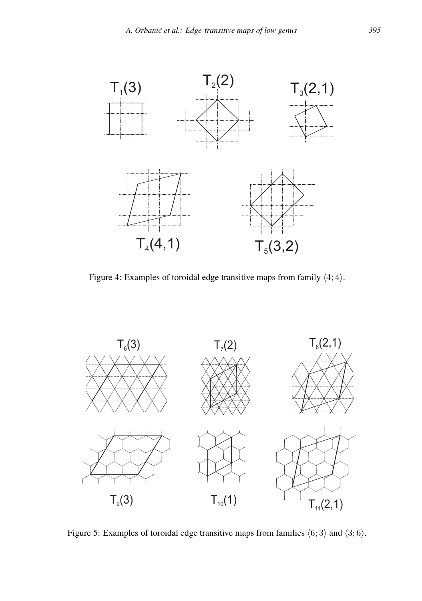

<span id="page-10-0"></span>Figure 4: Examples of toroidal edge transitive maps from family  $\langle 4; 4 \rangle$ .



<span id="page-10-1"></span>Figure 5: Examples of toroidal edge transitive maps from families  $\langle 6; 3 \rangle$  and  $\langle 3; 6 \rangle$ .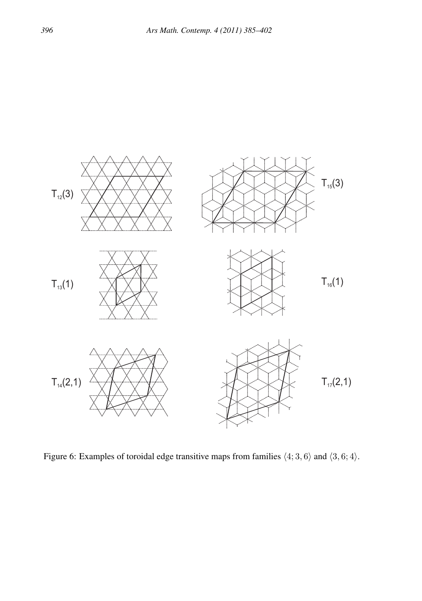

<span id="page-11-0"></span>Figure 6: Examples of toroidal edge transitive maps from families  $\langle 4; 3, 6 \rangle$  and  $\langle 3, 6; 4 \rangle$ .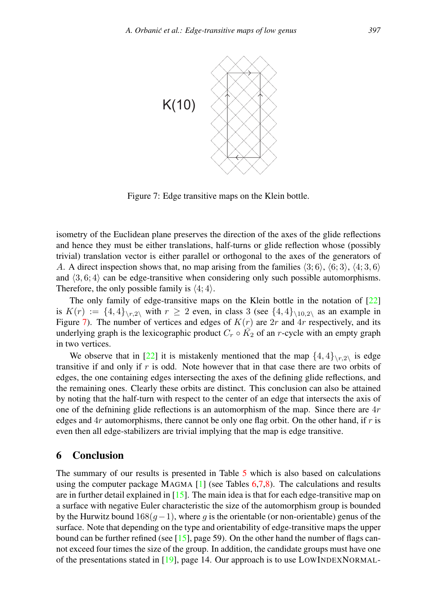

<span id="page-12-0"></span>Figure 7: Edge transitive maps on the Klein bottle.

isometry of the Euclidean plane preserves the direction of the axes of the glide reflections and hence they must be either translations, half-turns or glide reflection whose (possibly trivial) translation vector is either parallel or orthogonal to the axes of the generators of A. A direct inspection shows that, no map arising from the families  $\langle 3; 6 \rangle$ ,  $\langle 6; 3 \rangle$ ,  $\langle 4; 3, 6 \rangle$ and  $\langle 3, 6; 4 \rangle$  can be edge-transitive when considering only such possible automorphisms. Therefore, the only possible family is  $\langle 4; 4 \rangle$ .

The only family of edge-transitive maps on the Klein bottle in the notation of [\[22\]](#page-17-3) is  $K(r) := \{4, 4\}_{r, 2\backslash}$  with  $r \geq 2$  even, in class 3 (see  $\{4, 4\}_{r, 10, 2\backslash}$  as an example in Figure [7\)](#page-12-0). The number of vertices and edges of  $K(r)$  are  $2r$  and  $4r$  respectively, and its underlying graph is the lexicographic product  $C_r \circ \overline{K_2}$  of an *r*-cycle with an empty graph in two vertices.

We observe that in [\[22\]](#page-17-3) it is mistakenly mentioned that the map  $\{4,4\}_{r,2\backslash}$  is edge transitive if and only if r is odd. Note however that in that case there are two orbits of edges, the one containing edges intersecting the axes of the defining glide reflections, and the remaining ones. Clearly these orbits are distinct. This conclusion can also be attained by noting that the half-turn with respect to the center of an edge that intersects the axis of one of the definining glide reflections is an automorphism of the map. Since there are  $4r$ edges and  $4r$  automorphisms, there cannot be only one flag orbit. On the other hand, if r is even then all edge-stabilizers are trivial implying that the map is edge transitive.

## 6 Conclusion

The summary of our results is presented in Table [5](#page-13-0) which is also based on calculations using the computer package MAGMA  $[1]$  (see Tables [6](#page-14-0)[,7](#page-14-1)[,8\)](#page-15-0). The calculations and results are in further detail explained in [\[15\]](#page-16-10). The main idea is that for each edge-transitive map on a surface with negative Euler characteristic the size of the automorphism group is bounded by the Hurwitz bound  $168(g-1)$ , where g is the orientable (or non-orientable) genus of the surface. Note that depending on the type and orientability of edge-transitive maps the upper bound can be further refined (see  $[15]$ , page 59). On the other hand the number of flags cannot exceed four times the size of the group. In addition, the candidate groups must have one of the presentations stated in [\[19\]](#page-17-4), page 14. Our approach is to use LOWINDEXNORMAL-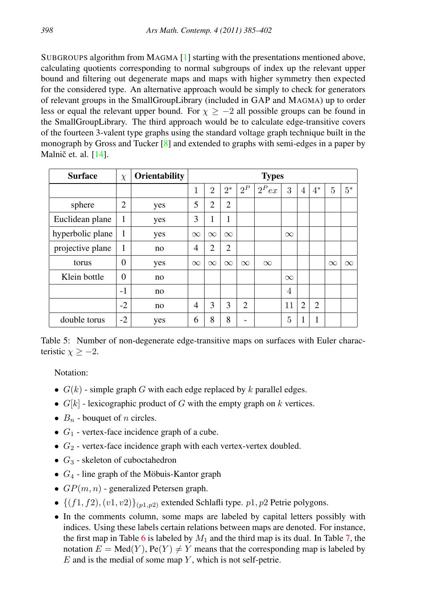SUBGROUPS algorithm from MAGMA [\[1\]](#page-16-9) starting with the presentations mentioned above, calculating quotients corresponding to normal subgroups of index up the relevant upper bound and filtering out degenerate maps and maps with higher symmetry then expected for the considered type. An alternative approach would be simply to check for generators of relevant groups in the SmallGroupLibrary (included in GAP and MAGMA) up to order less or equal the relevant upper bound. For  $\chi \ge -2$  all possible groups can be found in the SmallGroupLibrary. The third approach would be to calculate edge-transitive covers of the fourteen 3-valent type graphs using the standard voltage graph technique built in the monograph by Gross and Tucker [\[8\]](#page-16-11) and extended to graphs with semi-edges in a paper by Malnič et. al. [[14\]](#page-16-12).

| <b>Surface</b>   | $\chi$   | Orientability | <b>Types</b>   |                |                |                |          |                |                |                |          |          |
|------------------|----------|---------------|----------------|----------------|----------------|----------------|----------|----------------|----------------|----------------|----------|----------|
|                  |          |               | 1              | $\overline{2}$ | $2^*$          | $2^P$          | $2^Pex$  | 3              | 4              | $4^*$          | 5        | $5^*$    |
| sphere           | 2        | yes           | 5              | 2              | $\overline{2}$ |                |          |                |                |                |          |          |
| Euclidean plane  | 1        | yes           | 3              | 1              | 1              |                |          |                |                |                |          |          |
| hyperbolic plane | 1        | yes           | $\infty$       | $\infty$       | $\infty$       |                |          | $\infty$       |                |                |          |          |
| projective plane | 1        | no            | 4              | 2              | $\overline{2}$ |                |          |                |                |                |          |          |
| torus            | $\theta$ | yes           | $\infty$       | $\infty$       | $\infty$       | $\infty$       | $\infty$ |                |                |                | $\infty$ | $\infty$ |
| Klein bottle     | $\theta$ | no            |                |                |                |                |          | $\infty$       |                |                |          |          |
|                  | $-1$     | no            |                |                |                |                |          | $\overline{4}$ |                |                |          |          |
|                  | $-2$     | no            | $\overline{4}$ | 3              | 3              | $\overline{2}$ |          | 11             | $\overline{2}$ | $\overline{2}$ |          |          |
| double torus     | $-2$     | yes           | 6              | 8              | 8              |                |          | 5              | 1              |                |          |          |

<span id="page-13-0"></span>Table 5: Number of non-degenerate edge-transitive maps on surfaces with Euler characteristic  $\chi > -2$ .

Notation:

- $G(k)$  simple graph G with each edge replaced by k parallel edges.
- $G[k]$  lexicographic product of G with the empty graph on k vertices.
- $B_n$  bouquet of *n* circles.
- $G_1$  vertex-face incidence graph of a cube.
- $G_2$  vertex-face incidence graph with each vertex-vertex doubled.
- $G_3$  skeleton of cuboctahedron
- $G_4$  line graph of the Möbuis-Kantor graph
- $GP(m, n)$  generalized Petersen graph.
- $\{(f1, f2), (v1, v2)\}_{(p1, p2)}$  extended Schlafli type.  $p1, p2$  Petrie polygons.
- In the comments column, some maps are labeled by capital letters possibly with indices. Using these labels certain relations between maps are denoted. For instance, the first map in Table [6](#page-14-0) is labeled by  $M_1$  and the third map is its dual. In Table [7,](#page-14-1) the notation  $E = Med(Y)$ ,  $Pe(Y) \neq Y$  means that the corresponding map is labeled by  $E$  and is the medial of some map  $Y$ , which is not self-petrie.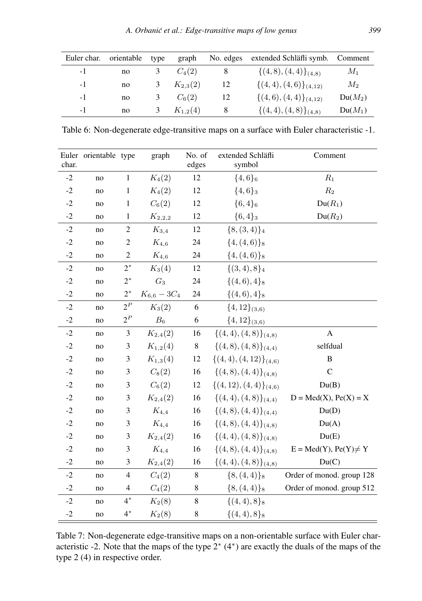| Euler char. | orientable | type | graph        | No. edges | extended Schläfli symb. Comment |           |
|-------------|------------|------|--------------|-----------|---------------------------------|-----------|
| $-1$        | no         | 3    | $C_4(2)$     | 8         | $\{(4,8), (4,4)\}_{(4,8)}$      | $M_1$     |
| $-1$        | no         | 3    | $K_{2,3}(2)$ | 12        | $\{(4,4), (4,6)\}_{(4,12)}$     | $M_2$     |
| $-1$        | no         | 3    | $C_6(2)$     | 12        | $\{(4,6), (4,4)\}_{(4,12)}$     | $Du(M_2)$ |
| -1          | no         | 3    | $K_{1,2}(4)$ | 8         | $\{(4,4),(4,8)\}_{(4,8)}$       | $Du(M_1)$ |

<span id="page-14-0"></span>Table 6: Non-degenerate edge-transitive maps on a surface with Euler characteristic -1.

| char. | Euler orientable type |                | graph            | No. of<br>edges | extended Schläfli<br>symbol | Comment                    |
|-------|-----------------------|----------------|------------------|-----------------|-----------------------------|----------------------------|
| $-2$  | no                    | $\mathbf{1}$   | $K_4(2)$         | 12              | $\{4,6\}_6$                 | $R_1$                      |
| $-2$  | no                    | $\mathbf{1}$   | $K_4(2)$         | 12              | ${4,6}$                     | $R_2$                      |
| $-2$  | no                    | 1              | $C_6(2)$         | 12              | ${6,4}_6$                   | $Du(R_1)$                  |
| $-2$  | no                    | $\mathbf{1}$   | $K_{2,2,2}$      | 12              | ${6,4}_3$                   | $Du(R_2)$                  |
| $-2$  | no                    | $\overline{c}$ | $K_{3,4}$        | 12              | ${8, (3,4)}_4$              |                            |
| $-2$  | no                    | $\overline{c}$ | $K_{4,6}$        | 24              | $\{4, (4,6)\}\$             |                            |
| $-2$  | no                    | $\overline{2}$ | $K_{4,6}$        | 24              | $\{4, (4,6)\}\$             |                            |
| $-2$  | no                    | $2^*$          | $K_3(4)$         | 12              | $\{(3,4),8\}_4$             |                            |
| $-2$  | no                    | $2^*$          | $G_3$            | 24              | $\{(4,6),4\}_8$             |                            |
| $-2$  | no                    | $2^*$          | $K_{6,6} - 3C_4$ | 24              | $\{(4,6),4\}_8$             |                            |
| $-2$  | no                    | $2^P$          | $K_3(2)$         | 6               | $\{4, 12\}_{(3,6)}$         |                            |
| $-2$  | no                    | $2^P$          | $B_6$            | 6               | $\{4, 12\}_{(3,6)}$         |                            |
| $-2$  | no                    | 3              | $K_{2,4}(2)$     | 16              | $\{(4,4), (4,8)\}_{(4,8)}$  | A                          |
| $-2$  | no                    | 3              | $K_{1,2}(4)$     | 8               | $\{(4,8), (4,8)\}_{(4,4)}$  | selfdual                   |
| $-2$  | no                    | 3              | $K_{1,3}(4)$     | 12              | $\{(4,4), (4,12)\}_{(4,6)}$ | B                          |
| $-2$  | no                    | 3              | $C_8(2)$         | 16              | $\{(4,8), (4,4)\}_{(4,8)}$  | $\mathbf C$                |
| $-2$  | no                    | 3              | $C_6(2)$         | 12              | $\{(4,12), (4,4)\}_{(4,6)}$ | Du(B)                      |
| $-2$  | no                    | 3              | $K_{2,4}(2)$     | 16              | $\{(4,4), (4,8)\}_{(4,4)}$  | $D = Med(X), Pe(X) = X$    |
| $-2$  | no                    | 3              | $K_{4,4}$        | 16              | $\{(4,8), (4,4)\}_{(4,4)}$  | Du(D)                      |
| $-2$  | no                    | 3              | $K_{4,4}$        | 16              | $\{(4,8), (4,4)\}_{(4,8)}$  | Du(A)                      |
| $-2$  | no                    | 3              | $K_{2,4}(2)$     | 16              | $\{(4,4), (4,8)\}_{(4,8)}$  | Du(E)                      |
| $-2$  | no                    | 3              | $K_{4,4}$        | 16              | $\{(4,8), (4,4)\}_{(4,8)}$  | $E = Med(Y), Pe(Y) \neq Y$ |
| $-2$  | no                    | 3              | $K_{2,4}(2)$     | 16              | $\{(4,4), (4,8)\}_{(4,8)}$  | Du(C)                      |
| $-2$  | no                    | $\overline{4}$ | $C_{4}(2)$       | 8               | $\{8, (4,4)\}\$             | Order of monod. group 128  |
| $-2$  | no                    | 4              | $C_4(2)$         | $\,8\,$         | ${8, (4,4)}$                | Order of monod. group 512  |
| $-2$  | no                    | $4^*$          | $K_2(8)$         | 8               | $\{(4,4),8\}_8$             |                            |
| $-2$  | no                    | $4^*$          | $K_2(8)$         | 8               | $\{(4,4),8\}_8$             |                            |

<span id="page-14-1"></span>Table 7: Non-degenerate edge-transitive maps on a non-orientable surface with Euler characteristic -2. Note that the maps of the type 2<sup>∗</sup> (4<sup>∗</sup> ) are exactly the duals of the maps of the type 2 (4) in respective order.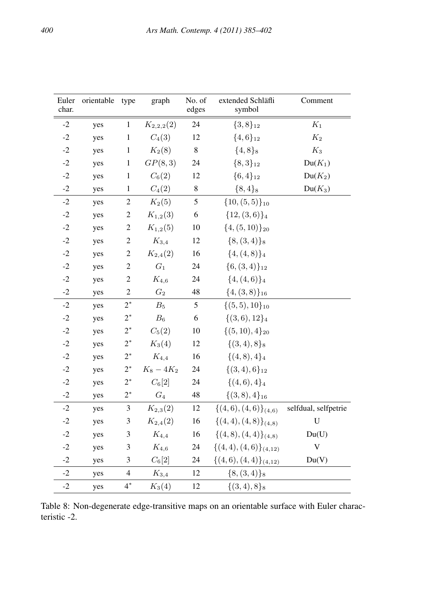| Euler<br>char. | orientable | type           | graph          | No. of<br>edges | extended Schläfli<br>symbol | Comment              |
|----------------|------------|----------------|----------------|-----------------|-----------------------------|----------------------|
| $-2$           | yes        | $\mathbf{1}$   | $K_{2,2,2}(2)$ | 24              | ${3,8}_{12}$                | $K_1$                |
| $-2$           | yes        | $\mathbf{1}$   | $C_4(3)$       | 12              | ${4,6}_{12}$                | $K_2$                |
| $-2$           | yes        | $\,1$          | $K_2(8)$       | 8               | $\{4, 8\}_8$                | $K_3$                |
| $-2$           | yes        | $\mathbf{1}$   | GP(8,3)        | 24              | ${8,3}_{12}$                | $Du(K_1)$            |
| $-2$           | yes        | $\mathbf{1}$   | $C_6(2)$       | 12              | $\{6,4\}_{12}$              | $Du(K_2)$            |
| $-2$           | yes        | $\mathbf{1}$   | $C_4(2)$       | $\,$ 8 $\,$     | ${8,4}_8$                   | $Du(K_3)$            |
| $-2$           | yes        | $\sqrt{2}$     | $K_2(5)$       | 5               | $\{10, (5,5)\}_{10}$        |                      |
| $-2$           | yes        | $\overline{c}$ | $K_{1,2}(3)$   | 6               | ${12, (3,6)}_4$             |                      |
| $-2$           | yes        | $\overline{2}$ | $K_{1,2}(5)$   | 10              | $\{4, (5,10)\}_{20}$        |                      |
| $-2$           | yes        | $\overline{2}$ | $K_{3,4}$      | 12              | ${8, (3,4)}_8$              |                      |
| $-2$           | yes        | $\overline{c}$ | $K_{2,4}(2)$   | 16              | $\{4, (4, 8)\}\$            |                      |
| $-2$           | yes        | $\overline{2}$ | $G_1$          | 24              | ${6, (3,4)}_{12}$           |                      |
| $-2$           | yes        | $\overline{c}$ | $K_{4,6}$      | 24              | $\{4, (4,6)\}\$             |                      |
| $-2$           | yes        | $\overline{2}$ | $G_2$          | 48              | $\{4, (3,8)\}_{16}$         |                      |
| $-2$           | yes        | $2^*$          | $B_5$          | 5               | $\{(5,5),10\}_{10}$         |                      |
| $-2$           | yes        | $2^*$          | $B_6$          | 6               | $\{(3,6), 12\}_4$           |                      |
| $-2$           | yes        | $2^\ast$       | $C_5(2)$       | 10              | $\{(5,10),4\}_{20}$         |                      |
| $-2$           | yes        | $2^*$          | $K_3(4)$       | 12              | $\{(3,4),8\}_8$             |                      |
| $-2$           | yes        | $2^\ast$       | $K_{4,4}$      | 16              | $\{(4,8),4\}_4$             |                      |
| $-2$           | yes        | $2^*$          | $K_8 - 4K_2$   | 24              | $\{(3,4),6\}_{12}$          |                      |
| $-2$           | yes        | $2^*$          | $C_6[2]$       | 24              | $\{(4,6),4\}_4$             |                      |
| $-2$           | yes        | $2^*$          | $G_4$          | 48              | $\{(3,8),4\}_{16}$          |                      |
| $-2$           | yes        | $\mathfrak{Z}$ | $K_{2,3}(2)$   | 12              | $\{(4,6), (4,6)\}_{(4,6)}$  | selfdual, selfpetrie |
| $-2$           | yes        | 3              | $K_{2,4}(2)$   | 16              | $\{(4,4),(4,8)\}_{(4,8)}$   | $\bf U$              |
| $-2$           | yes        | 3              | $K_{4,4}$      | 16              | $\{(4,8), (4,4)\}_{(4,8)}$  | Du(U)                |
| $-2$           | yes        | 3              | $K_{4,6}$      | 24              | $\{(4,4),(4,6)\}_{(4,12)}$  | $\mathbf V$          |
| $-2$           | yes        | 3              | $C_6[2]$       | 24              | $\{(4,6),(4,4)\}_{(4,12)}$  | Du(V)                |
| $-2$           | yes        | $\overline{4}$ | $K_{3,4}$      | 12              | ${8, (3,4)}_8$              |                      |
| $-2$           | yes        | $4^*$          | $K_3(4)$       | 12              | $\{(3,4),8\}_8$             |                      |

<span id="page-15-0"></span>Table 8: Non-degenerate edge-transitive maps on an orientable surface with Euler characteristic -2.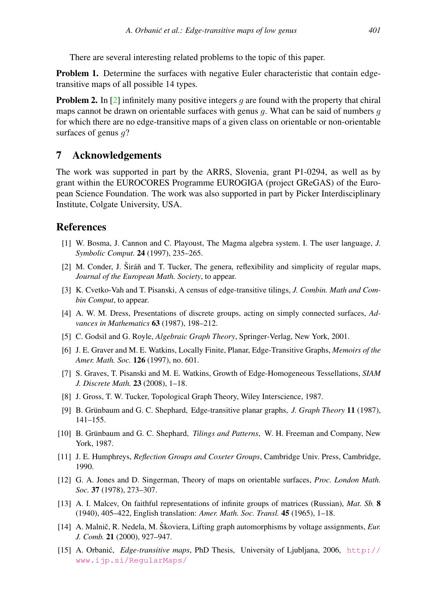There are several interesting related problems to the topic of this paper.

Problem 1. Determine the surfaces with negative Euler characteristic that contain edgetransitive maps of all possible 14 types.

**Problem 2.** In [\[2\]](#page-16-13) infinitely many positive integers q are found with the property that chiral maps cannot be drawn on orientable surfaces with genus  $q$ . What can be said of numbers  $q$ for which there are no edge-transitive maps of a given class on orientable or non-orientable surfaces of genus  $q$ ?

## 7 Acknowledgements

The work was supported in part by the ARRS, Slovenia, grant P1-0294, as well as by grant within the EUROCORES Programme EUROGIGA (project GReGAS) of the European Science Foundation. The work was also supported in part by Picker Interdisciplinary Institute, Colgate University, USA.

## **References**

- <span id="page-16-9"></span>[1] W. Bosma, J. Cannon and C. Playoust, The Magma algebra system. I. The user language, *J. Symbolic Comput.* 24 (1997), 235–265.
- <span id="page-16-13"></span> $[2]$  M. Conder, J. Širáň and T. Tucker, The genera, reflexibility and simplicity of regular maps, *Journal of the European Math. Society*, to appear.
- <span id="page-16-2"></span>[3] K. Cvetko-Vah and T. Pisanski, A census of edge-transitive tilings, *J. Combin. Math and Combin Comput*, to appear.
- <span id="page-16-8"></span>[4] A. W. M. Dress, Presentations of discrete groups, acting on simply connected surfaces, *Advances in Mathematics* 63 (1987), 198–212.
- <span id="page-16-0"></span>[5] C. Godsil and G. Royle, *Algebraic Graph Theory*, Springer-Verlag, New York, 2001.
- <span id="page-16-3"></span>[6] J. E. Graver and M. E. Watkins, Locally Finite, Planar, Edge-Transitive Graphs, *Memoirs of the Amer. Math. Soc.* 126 (1997), no. 601.
- <span id="page-16-1"></span>[7] S. Graves, T. Pisanski and M. E. Watkins, Growth of Edge-Homogeneous Tessellations, *SIAM J. Discrete Math.* 23 (2008), 1–18.
- <span id="page-16-11"></span>[8] J. Gross, T. W. Tucker, Topological Graph Theory, Wiley Interscience, 1987.
- <span id="page-16-4"></span>[9] B. Grünbaum and G. C. Shephard, Edge-transitive planar graphs, *J. Graph Theory* 11 (1987), 141–155.
- <span id="page-16-5"></span>[10] B. Grünbaum and G. C. Shephard, *Tilings and Patterns*, W. H. Freeman and Company, New York, 1987.
- <span id="page-16-6"></span>[11] J. E. Humphreys, *Reflection Groups and Coxeter Groups*, Cambridge Univ. Press, Cambridge, 1990.
- [12] G. A. Jones and D. Singerman, Theory of maps on orientable surfaces, *Proc. London Math. Soc.* 37 (1978), 273–307.
- <span id="page-16-7"></span>[13] A. I. Malcev, On faithful representations of infinite groups of matrices (Russian), *Mat. Sb.* 8 (1940), 405–422, English translation: *Amer. Math. Soc. Transl.* 45 (1965), 1–18.
- <span id="page-16-12"></span>[14] A. Malnič, R. Nedela, M. Škoviera, Lifting graph automorphisms by voltage assignments, *Eur. J. Comb.* 21 (2000), 927–947.
- <span id="page-16-10"></span>[15] A. Orbanic,´ *Edge-transitive maps*, PhD Thesis, University of Ljubljana, 2006, [http://](http://www.ijp.si/RegularMaps/) [www.ijp.si/RegularMaps/](http://www.ijp.si/RegularMaps/)